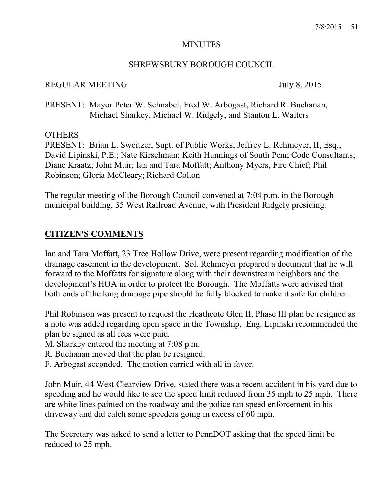#### MINUTES

#### SHREWSBURY BOROUGH COUNCIL

### REGULAR MEETING July 8, 2015

PRESENT: Mayor Peter W. Schnabel, Fred W. Arbogast, Richard R. Buchanan, Michael Sharkey, Michael W. Ridgely, and Stanton L. Walters

#### **OTHERS**

PRESENT: Brian L. Sweitzer, Supt. of Public Works; Jeffrey L. Rehmeyer, II, Esq.; David Lipinski, P.E.; Nate Kirschman; Keith Hunnings of South Penn Code Consultants; Diane Kraatz; John Muir; Ian and Tara Moffatt; Anthony Myers, Fire Chief; Phil Robinson; Gloria McCleary; Richard Colton

The regular meeting of the Borough Council convened at 7:04 p.m. in the Borough municipal building, 35 West Railroad Avenue, with President Ridgely presiding.

## **CITIZEN'S COMMENTS**

Ian and Tara Moffatt, 23 Tree Hollow Drive, were present regarding modification of the drainage easement in the development. Sol. Rehmeyer prepared a document that he will forward to the Moffatts for signature along with their downstream neighbors and the development's HOA in order to protect the Borough. The Moffatts were advised that both ends of the long drainage pipe should be fully blocked to make it safe for children.

Phil Robinson was present to request the Heathcote Glen II, Phase III plan be resigned as a note was added regarding open space in the Township. Eng. Lipinski recommended the plan be signed as all fees were paid.

- M. Sharkey entered the meeting at 7:08 p.m.
- R. Buchanan moved that the plan be resigned.
- F. Arbogast seconded. The motion carried with all in favor.

John Muir, 44 West Clearview Drive, stated there was a recent accident in his yard due to speeding and he would like to see the speed limit reduced from 35 mph to 25 mph. There are white lines painted on the roadway and the police ran speed enforcement in his driveway and did catch some speeders going in excess of 60 mph.

The Secretary was asked to send a letter to PennDOT asking that the speed limit be reduced to 25 mph.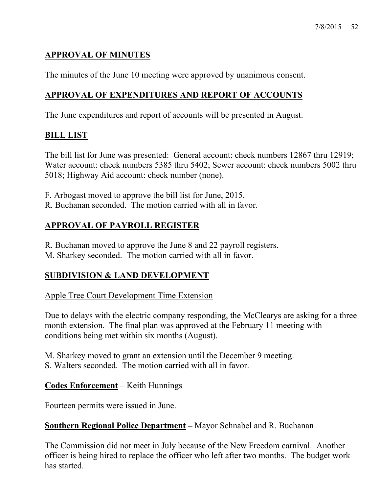# **APPROVAL OF MINUTES**

The minutes of the June 10 meeting were approved by unanimous consent.

# **APPROVAL OF EXPENDITURES AND REPORT OF ACCOUNTS**

The June expenditures and report of accounts will be presented in August.

## **BILL LIST**

The bill list for June was presented: General account: check numbers 12867 thru 12919; Water account: check numbers 5385 thru 5402; Sewer account: check numbers 5002 thru 5018; Highway Aid account: check number (none).

- F. Arbogast moved to approve the bill list for June, 2015.
- R. Buchanan seconded. The motion carried with all in favor.

# **APPROVAL OF PAYROLL REGISTER**

- R. Buchanan moved to approve the June 8 and 22 payroll registers.
- M. Sharkey seconded. The motion carried with all in favor.

# **SUBDIVISION & LAND DEVELOPMENT**

Apple Tree Court Development Time Extension

Due to delays with the electric company responding, the McClearys are asking for a three month extension. The final plan was approved at the February 11 meeting with conditions being met within six months (August).

M. Sharkey moved to grant an extension until the December 9 meeting. S. Walters seconded. The motion carried with all in favor.

### **Codes Enforcement** – Keith Hunnings

Fourteen permits were issued in June.

## **Southern Regional Police Department –** Mayor Schnabel and R. Buchanan

The Commission did not meet in July because of the New Freedom carnival. Another officer is being hired to replace the officer who left after two months. The budget work has started.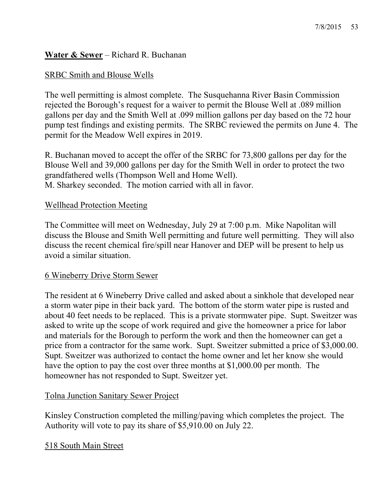# **Water & Sewer** – Richard R. Buchanan

## SRBC Smith and Blouse Wells

The well permitting is almost complete. The Susquehanna River Basin Commission rejected the Borough's request for a waiver to permit the Blouse Well at .089 million gallons per day and the Smith Well at .099 million gallons per day based on the 72 hour pump test findings and existing permits. The SRBC reviewed the permits on June 4. The permit for the Meadow Well expires in 2019.

R. Buchanan moved to accept the offer of the SRBC for 73,800 gallons per day for the Blouse Well and 39,000 gallons per day for the Smith Well in order to protect the two grandfathered wells (Thompson Well and Home Well). M. Sharkey seconded. The motion carried with all in favor.

## Wellhead Protection Meeting

The Committee will meet on Wednesday, July 29 at 7:00 p.m. Mike Napolitan will discuss the Blouse and Smith Well permitting and future well permitting. They will also discuss the recent chemical fire/spill near Hanover and DEP will be present to help us avoid a similar situation.

### 6 Wineberry Drive Storm Sewer

The resident at 6 Wineberry Drive called and asked about a sinkhole that developed near a storm water pipe in their back yard. The bottom of the storm water pipe is rusted and about 40 feet needs to be replaced. This is a private stormwater pipe. Supt. Sweitzer was asked to write up the scope of work required and give the homeowner a price for labor and materials for the Borough to perform the work and then the homeowner can get a price from a contractor for the same work. Supt. Sweitzer submitted a price of \$3,000.00. Supt. Sweitzer was authorized to contact the home owner and let her know she would have the option to pay the cost over three months at \$1,000.00 per month. The homeowner has not responded to Supt. Sweitzer yet.

### Tolna Junction Sanitary Sewer Project

Kinsley Construction completed the milling/paving which completes the project. The Authority will vote to pay its share of \$5,910.00 on July 22.

518 South Main Street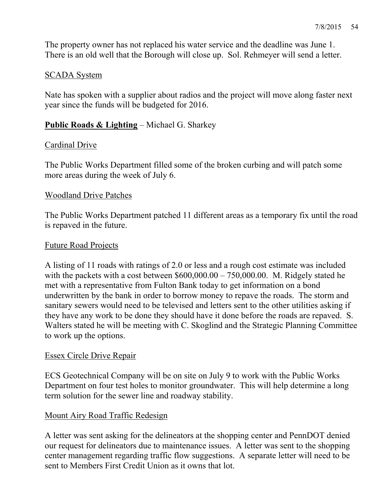The property owner has not replaced his water service and the deadline was June 1. There is an old well that the Borough will close up. Sol. Rehmeyer will send a letter.

### SCADA System

Nate has spoken with a supplier about radios and the project will move along faster next year since the funds will be budgeted for 2016.

### **Public Roads & Lighting** – Michael G. Sharkey

#### Cardinal Drive

The Public Works Department filled some of the broken curbing and will patch some more areas during the week of July 6.

#### Woodland Drive Patches

The Public Works Department patched 11 different areas as a temporary fix until the road is repaved in the future.

#### Future Road Projects

A listing of 11 roads with ratings of 2.0 or less and a rough cost estimate was included with the packets with a cost between  $$600,000.00 - 750,000.00$ . M. Ridgely stated he met with a representative from Fulton Bank today to get information on a bond underwritten by the bank in order to borrow money to repave the roads. The storm and sanitary sewers would need to be televised and letters sent to the other utilities asking if they have any work to be done they should have it done before the roads are repaved. S. Walters stated he will be meeting with C. Skoglind and the Strategic Planning Committee to work up the options.

#### Essex Circle Drive Repair

ECS Geotechnical Company will be on site on July 9 to work with the Public Works Department on four test holes to monitor groundwater. This will help determine a long term solution for the sewer line and roadway stability.

### Mount Airy Road Traffic Redesign

A letter was sent asking for the delineators at the shopping center and PennDOT denied our request for delineators due to maintenance issues. A letter was sent to the shopping center management regarding traffic flow suggestions. A separate letter will need to be sent to Members First Credit Union as it owns that lot.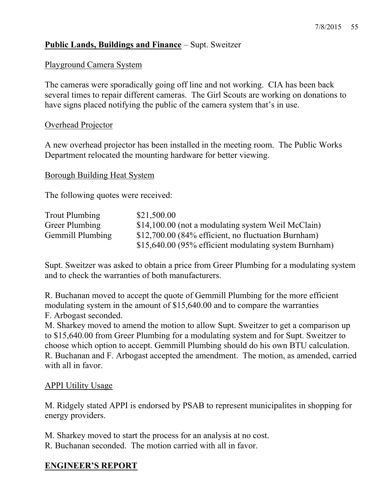## **Public Lands, Buildings and Finance** – Supt. Sweitzer

#### Playground Camera System

The cameras were sporadically going off line and not working. CIA has been back several times to repair different cameras. The Girl Scouts are working on donations to have signs placed notifying the public of the camera system that's in use.

#### Overhead Projector

A new overhead projector has been installed in the meeting room. The Public Works Department relocated the mounting hardware for better viewing.

#### Borough Building Heat System

The following quotes were received:

| Trout Plumbing   | \$21,500.00                                           |
|------------------|-------------------------------------------------------|
| Greer Plumbing   | \$14,100.00 (not a modulating system Weil McClain)    |
| Gemmill Plumbing | \$12,700.00 (84% efficient, no fluctuation Burnham)   |
|                  | \$15,640.00 (95% efficient modulating system Burnham) |

Supt. Sweitzer was asked to obtain a price from Greer Plumbing for a modulating system and to check the warranties of both manufacturers.

R. Buchanan moved to accept the quote of Gemmill Plumbing for the more efficient modulating system in the amount of \$15,640.00 and to compare the warranties F. Arbogast seconded.

M. Sharkey moved to amend the motion to allow Supt. Sweitzer to get a comparison up to \$15,640.00 from Greer Plumbing for a modulating system and for Supt. Sweitzer to choose which option to accept. Gemmill Plumbing should do his own BTU calculation. R. Buchanan and F. Arbogast accepted the amendment. The motion, as amended, carried with all in favor.

#### APPI Utility Usage

M. Ridgely stated APPI is endorsed by PSAB to represent municipalites in shopping for energy providers.

M. Sharkey moved to start the process for an analysis at no cost.

R. Buchanan seconded. The motion carried with all in favor.

### **ENGINEER'S REPORT**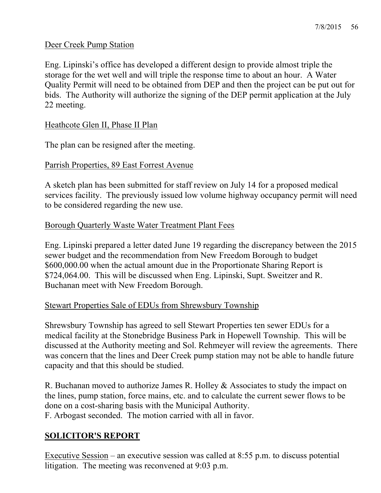### Deer Creek Pump Station

Eng. Lipinski's office has developed a different design to provide almost triple the storage for the wet well and will triple the response time to about an hour. A Water Quality Permit will need to be obtained from DEP and then the project can be put out for bids. The Authority will authorize the signing of the DEP permit application at the July 22 meeting.

#### Heathcote Glen II, Phase II Plan

The plan can be resigned after the meeting.

#### Parrish Properties, 89 East Forrest Avenue

A sketch plan has been submitted for staff review on July 14 for a proposed medical services facility. The previously issued low volume highway occupancy permit will need to be considered regarding the new use.

### Borough Quarterly Waste Water Treatment Plant Fees

Eng. Lipinski prepared a letter dated June 19 regarding the discrepancy between the 2015 sewer budget and the recommendation from New Freedom Borough to budget \$600,000.00 when the actual amount due in the Proportionate Sharing Report is \$724,064.00. This will be discussed when Eng. Lipinski, Supt. Sweitzer and R. Buchanan meet with New Freedom Borough.

### Stewart Properties Sale of EDUs from Shrewsbury Township

Shrewsbury Township has agreed to sell Stewart Properties ten sewer EDUs for a medical facility at the Stonebridge Business Park in Hopewell Township. This will be discussed at the Authority meeting and Sol. Rehmeyer will review the agreements. There was concern that the lines and Deer Creek pump station may not be able to handle future capacity and that this should be studied.

R. Buchanan moved to authorize James R. Holley & Associates to study the impact on the lines, pump station, force mains, etc. and to calculate the current sewer flows to be done on a cost-sharing basis with the Municipal Authority. F. Arbogast seconded. The motion carried with all in favor.

### **SOLICITOR'S REPORT**

Executive Session – an executive session was called at 8:55 p.m. to discuss potential litigation. The meeting was reconvened at 9:03 p.m.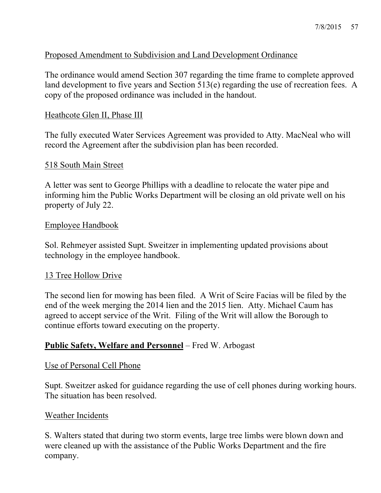### Proposed Amendment to Subdivision and Land Development Ordinance

The ordinance would amend Section 307 regarding the time frame to complete approved land development to five years and Section 513(e) regarding the use of recreation fees. A copy of the proposed ordinance was included in the handout.

#### Heathcote Glen II, Phase III

The fully executed Water Services Agreement was provided to Atty. MacNeal who will record the Agreement after the subdivision plan has been recorded.

#### 518 South Main Street

A letter was sent to George Phillips with a deadline to relocate the water pipe and informing him the Public Works Department will be closing an old private well on his property of July 22.

#### Employee Handbook

Sol. Rehmeyer assisted Supt. Sweitzer in implementing updated provisions about technology in the employee handbook.

#### 13 Tree Hollow Drive

The second lien for mowing has been filed. A Writ of Scire Facias will be filed by the end of the week merging the 2014 lien and the 2015 lien. Atty. Michael Caum has agreed to accept service of the Writ. Filing of the Writ will allow the Borough to continue efforts toward executing on the property.

#### **Public Safety, Welfare and Personnel** – Fred W. Arbogast

#### Use of Personal Cell Phone

Supt. Sweitzer asked for guidance regarding the use of cell phones during working hours. The situation has been resolved.

#### Weather Incidents

S. Walters stated that during two storm events, large tree limbs were blown down and were cleaned up with the assistance of the Public Works Department and the fire company.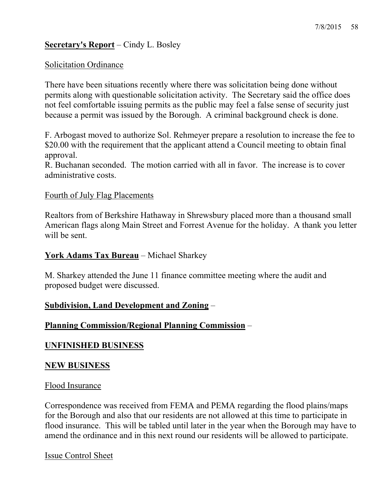### **Secretary's Report** – Cindy L. Bosley

#### Solicitation Ordinance

There have been situations recently where there was solicitation being done without permits along with questionable solicitation activity. The Secretary said the office does not feel comfortable issuing permits as the public may feel a false sense of security just because a permit was issued by the Borough. A criminal background check is done.

F. Arbogast moved to authorize Sol. Rehmeyer prepare a resolution to increase the fee to \$20.00 with the requirement that the applicant attend a Council meeting to obtain final approval.

R. Buchanan seconded. The motion carried with all in favor. The increase is to cover administrative costs.

#### Fourth of July Flag Placements

Realtors from of Berkshire Hathaway in Shrewsbury placed more than a thousand small American flags along Main Street and Forrest Avenue for the holiday. A thank you letter will be sent.

### **York Adams Tax Bureau** – Michael Sharkey

M. Sharkey attended the June 11 finance committee meeting where the audit and proposed budget were discussed.

### **Subdivision, Land Development and Zoning** –

### **Planning Commission/Regional Planning Commission** –

#### **UNFINISHED BUSINESS**

#### **NEW BUSINESS**

#### Flood Insurance

Correspondence was received from FEMA and PEMA regarding the flood plains/maps for the Borough and also that our residents are not allowed at this time to participate in flood insurance. This will be tabled until later in the year when the Borough may have to amend the ordinance and in this next round our residents will be allowed to participate.

#### Issue Control Sheet